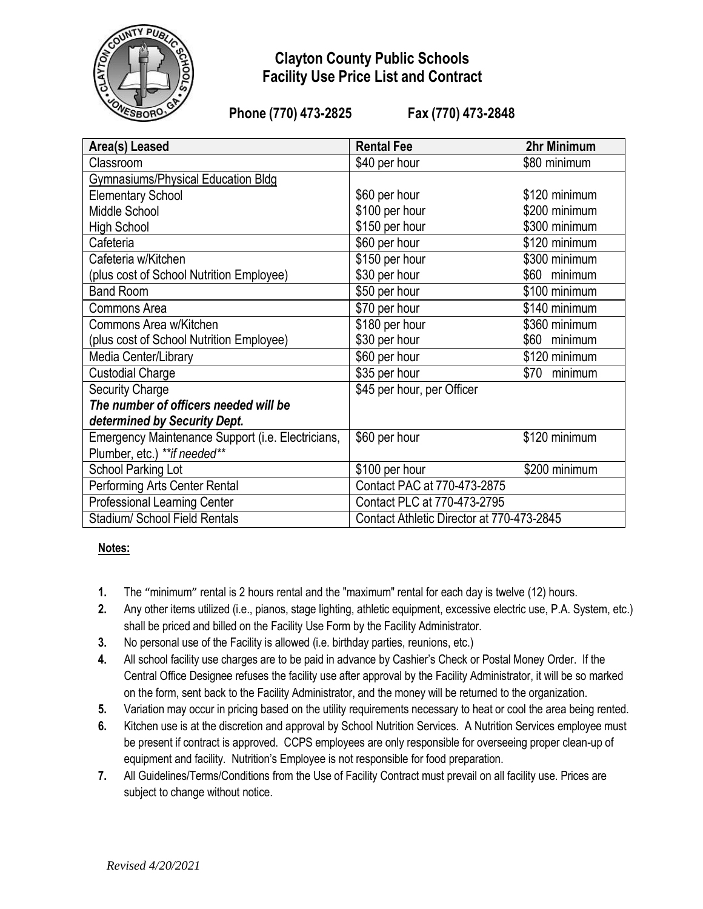

## **Clayton County Public Schools Facility Use Price List and Contract**

**Phone (770) 473-2825 Fax (770) 473-2848**

| Area(s) Leased                                    | <b>Rental Fee</b>                         | 2hr Minimum     |
|---------------------------------------------------|-------------------------------------------|-----------------|
| Classroom                                         | \$40 per hour                             | \$80 minimum    |
| <b>Gymnasiums/Physical Education Bldg</b>         |                                           |                 |
| <b>Elementary School</b>                          | \$60 per hour                             | \$120 minimum   |
| Middle School                                     | \$100 per hour                            | \$200 minimum   |
| <b>High School</b>                                | \$150 per hour                            | \$300 minimum   |
| Cafeteria                                         | \$60 per hour                             | \$120 minimum   |
| Cafeteria w/Kitchen                               | \$150 per hour                            | \$300 minimum   |
| (plus cost of School Nutrition Employee)          | \$30 per hour                             | \$60 minimum    |
| <b>Band Room</b>                                  | \$50 per hour                             | \$100 minimum   |
| Commons Area                                      | \$70 per hour                             | \$140 minimum   |
| Commons Area w/Kitchen                            | \$180 per hour                            | \$360 minimum   |
| (plus cost of School Nutrition Employee)          | \$30 per hour                             | \$60 minimum    |
| Media Center/Library                              | \$60 per hour                             | \$120 minimum   |
| <b>Custodial Charge</b>                           | \$35 per hour                             | \$70<br>minimum |
| <b>Security Charge</b>                            | \$45 per hour, per Officer                |                 |
| The number of officers needed will be             |                                           |                 |
| determined by Security Dept.                      |                                           |                 |
| Emergency Maintenance Support (i.e. Electricians, | \$60 per hour                             | \$120 minimum   |
| Plumber, etc.) ** if needed**                     |                                           |                 |
| School Parking Lot                                | \$100 per hour                            | \$200 minimum   |
| Performing Arts Center Rental                     | Contact PAC at 770-473-2875               |                 |
| <b>Professional Learning Center</b>               | Contact PLC at 770-473-2795               |                 |
| Stadium/ School Field Rentals                     | Contact Athletic Director at 770-473-2845 |                 |

#### **Notes:**

- **1.** The "minimum" rental is 2 hours rental and the "maximum" rental for each day is twelve (12) hours.
- **2.** Any other items utilized (i.e., pianos, stage lighting, athletic equipment, excessive electric use, P.A. System, etc.) shall be priced and billed on the Facility Use Form by the Facility Administrator.
- **3.** No personal use of the Facility is allowed (i.e. birthday parties, reunions, etc.)
- **4.** All school facility use charges are to be paid in advance by Cashier's Check or Postal Money Order. If the Central Office Designee refuses the facility use after approval by the Facility Administrator, it will be so marked on the form, sent back to the Facility Administrator, and the money will be returned to the organization.
- **5.** Variation may occur in pricing based on the utility requirements necessary to heat or cool the area being rented.
- **6.** Kitchen use is at the discretion and approval by School Nutrition Services. A Nutrition Services employee must be present if contract is approved. CCPS employees are only responsible for overseeing proper clean-up of equipment and facility. Nutrition's Employee is not responsible for food preparation.
- **7.** All Guidelines/Terms/Conditions from the Use of Facility Contract must prevail on all facility use. Prices are subject to change without notice.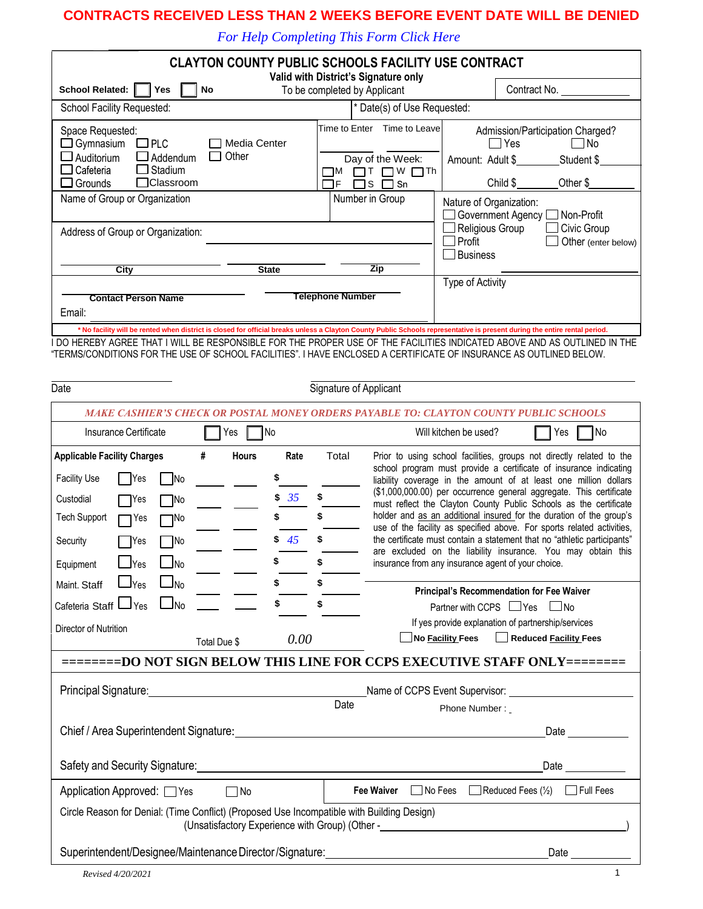### **CONTRACTS RECEIVED LESS THAN 2 WEEKS BEFORE EVENT DATE WILL BE DENIED**

*For Help Completing This Form Click Here*

| Valid with District's Signature only<br>To be completed by Applicant<br>School Related:  <br>Yes<br>No<br>School Facility Requested:    |                                                       |                                                             |  |
|-----------------------------------------------------------------------------------------------------------------------------------------|-------------------------------------------------------|-------------------------------------------------------------|--|
|                                                                                                                                         |                                                       | Contract No.                                                |  |
| * Date(s) of Use Requested:                                                                                                             |                                                       |                                                             |  |
| Time to Enter<br>Space Requested:<br>Gymnasium<br>$\square$ PLC<br>Media Center<br>Other<br>$\Box$ Auditorium<br>$\Box$ Addendum<br>- 1 | Time to Leave<br>Day of the Week:<br>Amount: Adult \$ | Admission/Participation Charged?<br>Yes<br>No<br>Student \$ |  |
| $\Box$ Cafeteria<br>$\Box$ Stadium<br>– IM<br>□Classroom<br>$\Box$ Grounds<br>コF                                                        | ¬w 冖™<br>٦s<br>□ Sn                                   | Child \$<br>Other \$                                        |  |
| Name of Group or Organization                                                                                                           | Number in Group<br>Nature of Organization:            | Government Agency<br>Non-Profit                             |  |
| Address of Group or Organization:                                                                                                       | Religious Group<br>Profit<br><b>Business</b>          | Civic Group<br>Other (enter below)                          |  |
| City<br><b>State</b>                                                                                                                    | Zip                                                   |                                                             |  |
| <b>Telephone Number</b><br><b>Contact Person Name</b><br>Email:                                                                         | Type of Activity                                      |                                                             |  |

I DO HEREBY AGREE THAT I WILL BE RESPONSIBLE FOR THE PROPER USE OF THE FACILITIES INDICATED ABOVE AND AS OUTLINED IN THE "TERMS/CONDITIONS FOR THE USE OF SCHOOL FACILITIES". I HAVE ENCLOSED A CERTIFICATE OF INSURANCE AS OUTLINED BELOW.

| Date<br>Signature of Applicant                                                                                                                                                                                                                    |                   |                    |             |                                                                                                                                                                                                                                                                                                                                                                                                                                                                                                                                                                                                                                                                                                              |  |
|---------------------------------------------------------------------------------------------------------------------------------------------------------------------------------------------------------------------------------------------------|-------------------|--------------------|-------------|--------------------------------------------------------------------------------------------------------------------------------------------------------------------------------------------------------------------------------------------------------------------------------------------------------------------------------------------------------------------------------------------------------------------------------------------------------------------------------------------------------------------------------------------------------------------------------------------------------------------------------------------------------------------------------------------------------------|--|
|                                                                                                                                                                                                                                                   |                   |                    |             | MAKE CASHIER'S CHECK OR POSTAL MONEY ORDERS PAYABLE TO: CLAYTON COUNTY PUBLIC SCHOOLS                                                                                                                                                                                                                                                                                                                                                                                                                                                                                                                                                                                                                        |  |
| Insurance Certificate                                                                                                                                                                                                                             | l Yes             | ¶No                |             | Will kitchen be used?<br>□No<br>Yes                                                                                                                                                                                                                                                                                                                                                                                                                                                                                                                                                                                                                                                                          |  |
| <b>Applicable Facility Charges</b><br><b>Facility Use</b><br>No<br> Yes<br>Custodial<br><b>TNo</b><br>Yes<br><b>Tech Support</b><br>٦No<br>Yes<br><b>TNo</b><br><b>TYes</b><br>Security<br>$\mathsf{\underline{J}}$ No<br>$\Box$ Yes<br>Equipment | #<br><b>Hours</b> | Rate<br>\$35<br>45 | Total<br>\$ | Prior to using school facilities, groups not directly related to the<br>school program must provide a certificate of insurance indicating<br>liability coverage in the amount of at least one million dollars<br>(\$1,000,000.00) per occurrence general aggregate. This certificate<br>must reflect the Clayton County Public Schools as the certificate<br>holder and as an additional insured for the duration of the group's<br>use of the facility as specified above. For sports related activities,<br>the certificate must contain a statement that no "athletic participants"<br>are excluded on the liability insurance. You may obtain this<br>insurance from any insurance agent of your choice. |  |
| $\Box$ Yes<br>$\Box_{\text{No}}$<br>Maint. Staff<br>Cafeteria Staff Lyes<br>$\Box$ No<br>Director of Nutrition                                                                                                                                    | Total Due \$      | \$<br>0.00         | \$          | Principal's Recommendation for Fee Waiver<br>Partner with CCPS $\Box$ Yes $\Box$ No<br>If yes provide explanation of partnership/services<br>No Facility Fees Reduced Facility Fees<br>========DO NOT SIGN BELOW THIS LINE FOR CCPS EXECUTIVE STAFF ONLY========                                                                                                                                                                                                                                                                                                                                                                                                                                             |  |
| Principal Signature: Management Control of Signature 2014                                                                                                                                                                                         |                   |                    | Date        | Name of CCPS Event Supervisor: Name of CCPS<br>Phone Number:                                                                                                                                                                                                                                                                                                                                                                                                                                                                                                                                                                                                                                                 |  |
|                                                                                                                                                                                                                                                   |                   |                    |             | Chief / Area Superintendent Signature: North Area Chief / Area Superintendent Signature: North Area Chief Area Chief Chief Area Chief Area Chief Area Chief Area Chief Area Chief Area Chief Area Chief Area Chief Area Chief<br>Date and the state of the state of the state of the state of the state of the state of the state of the state o                                                                                                                                                                                                                                                                                                                                                             |  |
| Safety and Security Signature: <b>Example 2018</b> 2019 12:30 2019 12:30 2019 12:30 2019 12:30 2019 12:30 2019 12:30<br>Date and the set of the set of the set of the set of the set of the set of the set of the set of the set of the           |                   |                    |             |                                                                                                                                                                                                                                                                                                                                                                                                                                                                                                                                                                                                                                                                                                              |  |
| Application Approved: □ Yes                                                                                                                                                                                                                       | $\Box$ No         |                    |             | No Fees<br>Reduced Fees $(\frac{1}{2})$ $\Box$ Full Fees<br><b>Fee Waiver</b>                                                                                                                                                                                                                                                                                                                                                                                                                                                                                                                                                                                                                                |  |
| Circle Reason for Denial: (Time Conflict) (Proposed Use Incompatible with Building Design)<br>(Unsatisfactory Experience with Group) (Other -_________________________________                                                                    |                   |                    |             |                                                                                                                                                                                                                                                                                                                                                                                                                                                                                                                                                                                                                                                                                                              |  |
| Superintendent/Designee/Maintenance Director/Signature:                                                                                                                                                                                           |                   | Date               |             |                                                                                                                                                                                                                                                                                                                                                                                                                                                                                                                                                                                                                                                                                                              |  |
| Revised 4/20/2021                                                                                                                                                                                                                                 |                   |                    |             | $\mathbf{1}$                                                                                                                                                                                                                                                                                                                                                                                                                                                                                                                                                                                                                                                                                                 |  |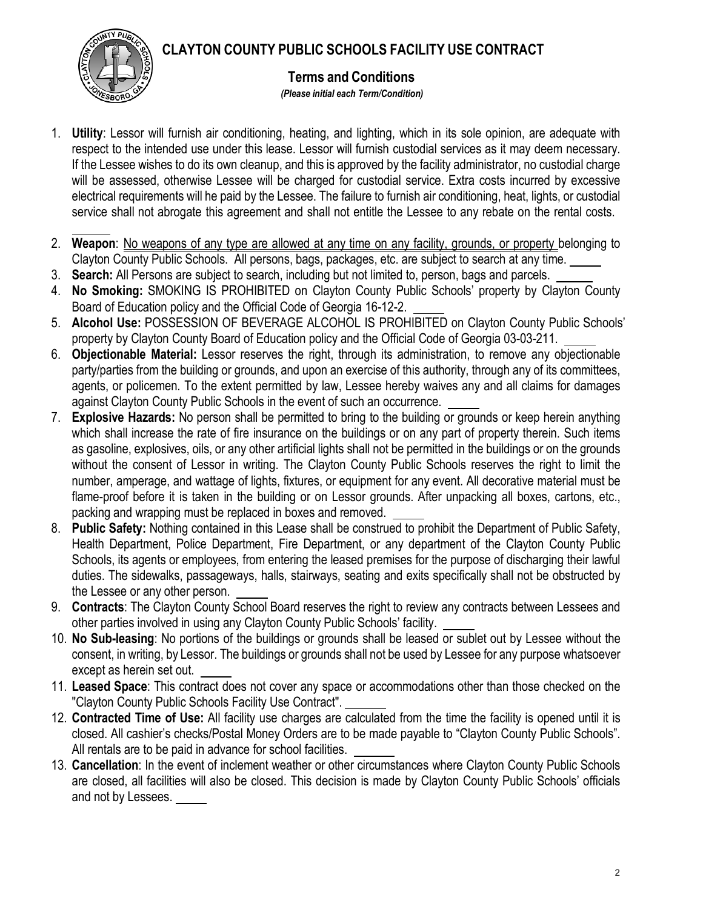# **CLAYTON COUNTY PUBLIC SCHOOLS FACILITY USE CONTRACT**



### **Terms and Conditions**

*(Please initial each Term/Condition)*

- 1. **Utility**: Lessor will furnish air conditioning, heating, and lighting, which in its sole opinion, are adequate with respect to the intended use under this lease. Lessor will furnish custodial services as it may deem necessary. If the Lessee wishes to do its own cleanup, and this is approved by the facility administrator, no custodial charge will be assessed, otherwise Lessee will be charged for custodial service. Extra costs incurred by excessive electrical requirements will he paid by the Lessee. The failure to furnish air conditioning, heat, lights, or custodial service shall not abrogate this agreement and shall not entitle the Lessee to any rebate on the rental costs.
- 2. **Weapon**: No weapons of any type are allowed at any time on any facility, grounds, or property belonging to Clayton County Public Schools. All persons, bags, packages, etc. are subject to search at any time.
- 3. **Search:** All Persons are subject to search, including but not limited to, person, bags and parcels.
- 4. **No Smoking:** SMOKING IS PROHIBITED on Clayton County Public Schools' property by Clayton County Board of Education policy and the Official Code of Georgia 16-12-2.
- 5. **Alcohol Use:** POSSESSION OF BEVERAGE ALCOHOL IS PROHIBITED on Clayton County Public Schools' property by Clayton County Board of Education policy and the Official Code of Georgia 03-03-211.
- 6. **Objectionable Material:** Lessor reserves the right, through its administration, to remove any objectionable party/parties from the building or grounds, and upon an exercise of this authority, through any of its committees, agents, or policemen. To the extent permitted by law, Lessee hereby waives any and all claims for damages against Clayton County Public Schools in the event of such an occurrence.
- 7. **Explosive Hazards:** No person shall be permitted to bring to the building or grounds or keep herein anything which shall increase the rate of fire insurance on the buildings or on any part of property therein. Such items as gasoline, explosives, oils, or any other artificial lights shall not be permitted in the buildings or on the grounds without the consent of Lessor in writing. The Clayton County Public Schools reserves the right to limit the number, amperage, and wattage of lights, fixtures, or equipment for any event. All decorative material must be flame-proof before it is taken in the building or on Lessor grounds. After unpacking all boxes, cartons, etc., packing and wrapping must be replaced in boxes and removed.
- 8. **Public Safety:** Nothing contained in this Lease shall be construed to prohibit the Department of Public Safety, Health Department, Police Department, Fire Department, or any department of the Clayton County Public Schools, its agents or employees, from entering the leased premises for the purpose of discharging their lawful duties. The sidewalks, passageways, halls, stairways, seating and exits specifically shall not be obstructed by the Lessee or any other person.
- 9. **Contracts**: The Clayton County School Board reserves the right to review any contracts between Lessees and other parties involved in using any Clayton County Public Schools' facility.
- 10. **No Sub-leasing**: No portions of the buildings or grounds shall be leased or sublet out by Lessee without the consent, in writing, by Lessor. The buildings or grounds shall not be used by Lessee for any purpose whatsoever except as herein set out.
- 11. **Leased Space**: This contract does not cover any space or accommodations other than those checked on the "Clayton County Public Schools Facility Use Contract".
- 12. **Contracted Time of Use:** All facility use charges are calculated from the time the facility is opened until it is closed. All cashier's checks/Postal Money Orders are to be made payable to "Clayton County Public Schools". All rentals are to be paid in advance for school facilities.
- 13. **Cancellation**: In the event of inclement weather or other circumstances where Clayton County Public Schools are closed, all facilities will also be closed. This decision is made by Clayton County Public Schools' officials and not by Lessees.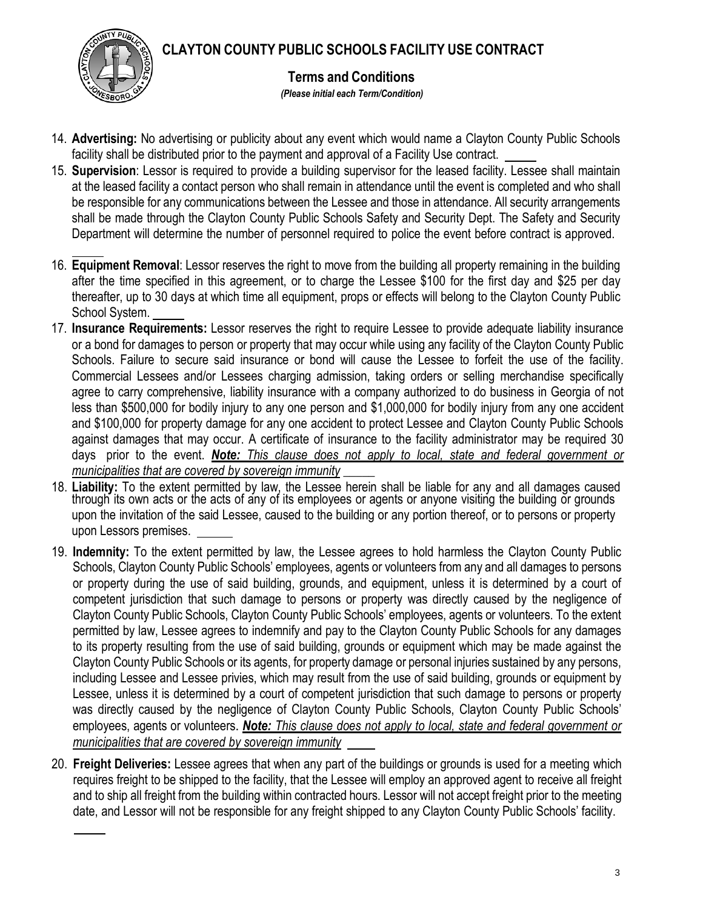**CLAYTON COUNTY PUBLIC SCHOOLS FACILITY USE CONTRACT**



**Terms and Conditions**

*(Please initial each Term/Condition)*

- 14. **Advertising:** No advertising or publicity about any event which would name a Clayton County Public Schools facility shall be distributed prior to the payment and approval of a Facility Use contract.
- 15. **Supervision**: Lessor is required to provide a building supervisor for the leased facility. Lessee shall maintain at the leased facility a contact person who shall remain in attendance until the event is completed and who shall be responsible for any communications between the Lessee and those in attendance. All security arrangements shall be made through the Clayton County Public Schools Safety and Security Dept. The Safety and Security Department will determine the number of personnel required to police the event before contract is approved.
- 16. **Equipment Removal**: Lessor reserves the right to move from the building all property remaining in the building after the time specified in this agreement, or to charge the Lessee \$100 for the first day and \$25 per day thereafter, up to 30 days at which time all equipment, props or effects will belong to the Clayton County Public School System.
- 17. **Insurance Requirements:** Lessor reserves the right to require Lessee to provide adequate liability insurance or a bond for damages to person or property that may occur while using any facility of the Clayton County Public Schools. Failure to secure said insurance or bond will cause the Lessee to forfeit the use of the facility. Commercial Lessees and/or Lessees charging admission, taking orders or selling merchandise specifically agree to carry comprehensive, liability insurance with a company authorized to do business in Georgia of not less than \$500,000 for bodily injury to any one person and \$1,000,000 for bodily injury from any one accident and \$100,000 for property damage for any one accident to protect Lessee and Clayton County Public Schools against damages that may occur. A certificate of insurance to the facility administrator may be required 30 days prior to the event. *Note: This clause does not apply to local, state and federal government or municipalities that are covered by sovereign immunity \_\_\_\_\_*
- 18. **Liability:** To the extent permitted by law, the Lessee herein shall be liable for any and all damages caused through its own acts or the acts of any of its employees or agents or anyone visiting the building or grounds upon the invitation of the said Lessee, caused to the building or any portion thereof, or to persons or property upon Lessors premises.
- 19. **Indemnity:** To the extent permitted by law, the Lessee agrees to hold harmless the Clayton County Public Schools, Clayton County Public Schools' employees, agents or volunteers from any and all damages to persons or property during the use of said building, grounds, and equipment, unless it is determined by a court of competent jurisdiction that such damage to persons or property was directly caused by the negligence of Clayton County Public Schools, Clayton County Public Schools' employees, agents or volunteers. To the extent permitted by law, Lessee agrees to indemnify and pay to the Clayton County Public Schools for any damages to its property resulting from the use of said building, grounds or equipment which may be made against the Clayton County Public Schools or its agents, for property damage or personal injuries sustained by any persons, including Lessee and Lessee privies, which may result from the use of said building, grounds or equipment by Lessee, unless it is determined by a court of competent jurisdiction that such damage to persons or property was directly caused by the negligence of Clayton County Public Schools, Clayton County Public Schools' employees, agents or volunteers. *Note: This clause does not apply to local, state and federal government or municipalities that are covered by sovereign immunity*
- 20. **Freight Deliveries:** Lessee agrees that when any part of the buildings or grounds is used for a meeting which requires freight to be shipped to the facility, that the Lessee will employ an approved agent to receive all freight and to ship all freight from the building within contracted hours. Lessor will not accept freight prior to the meeting date, and Lessor will not be responsible for any freight shipped to any Clayton County Public Schools' facility.